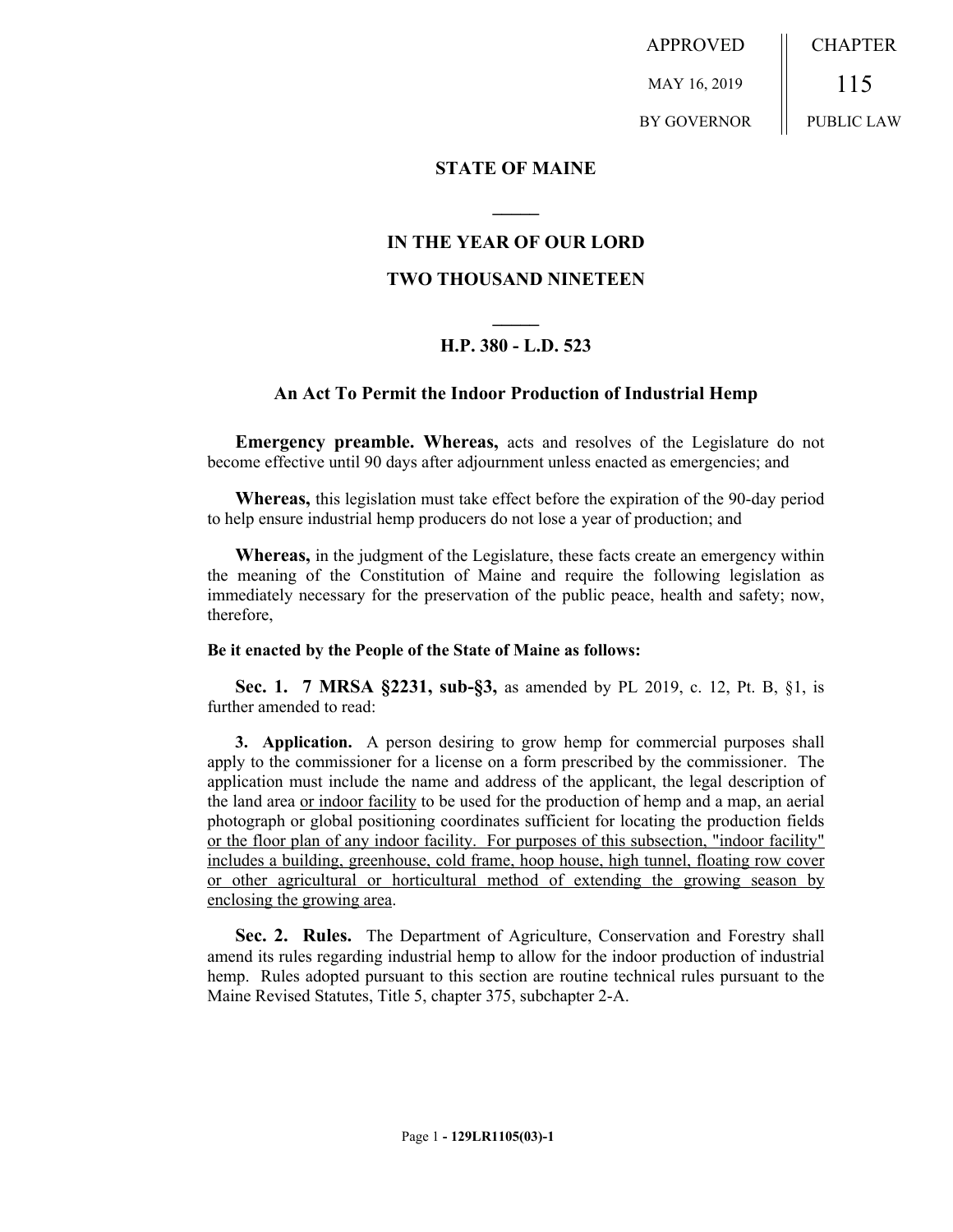APPROVED MAY 16, 2019 BY GOVERNOR CHAPTER 115 PUBLIC LAW

### **STATE OF MAINE**

# **IN THE YEAR OF OUR LORD**

**\_\_\_\_\_**

## **TWO THOUSAND NINETEEN**

# **\_\_\_\_\_ H.P. 380 - L.D. 523**

### **An Act To Permit the Indoor Production of Industrial Hemp**

**Emergency preamble. Whereas,** acts and resolves of the Legislature do not become effective until 90 days after adjournment unless enacted as emergencies; and

**Whereas,** this legislation must take effect before the expiration of the 90-day period to help ensure industrial hemp producers do not lose a year of production; and

**Whereas,** in the judgment of the Legislature, these facts create an emergency within the meaning of the Constitution of Maine and require the following legislation as immediately necessary for the preservation of the public peace, health and safety; now, therefore,

#### **Be it enacted by the People of the State of Maine as follows:**

**Sec. 1. 7 MRSA §2231, sub-§3,** as amended by PL 2019, c. 12, Pt. B, §1, is further amended to read:

**3. Application.** A person desiring to grow hemp for commercial purposes shall apply to the commissioner for a license on a form prescribed by the commissioner. The application must include the name and address of the applicant, the legal description of the land area or indoor facility to be used for the production of hemp and a map, an aerial photograph or global positioning coordinates sufficient for locating the production fields or the floor plan of any indoor facility. For purposes of this subsection, "indoor facility" includes a building, greenhouse, cold frame, hoop house, high tunnel, floating row cover or other agricultural or horticultural method of extending the growing season by enclosing the growing area.

**Sec. 2. Rules.** The Department of Agriculture, Conservation and Forestry shall amend its rules regarding industrial hemp to allow for the indoor production of industrial hemp. Rules adopted pursuant to this section are routine technical rules pursuant to the Maine Revised Statutes, Title 5, chapter 375, subchapter 2-A.